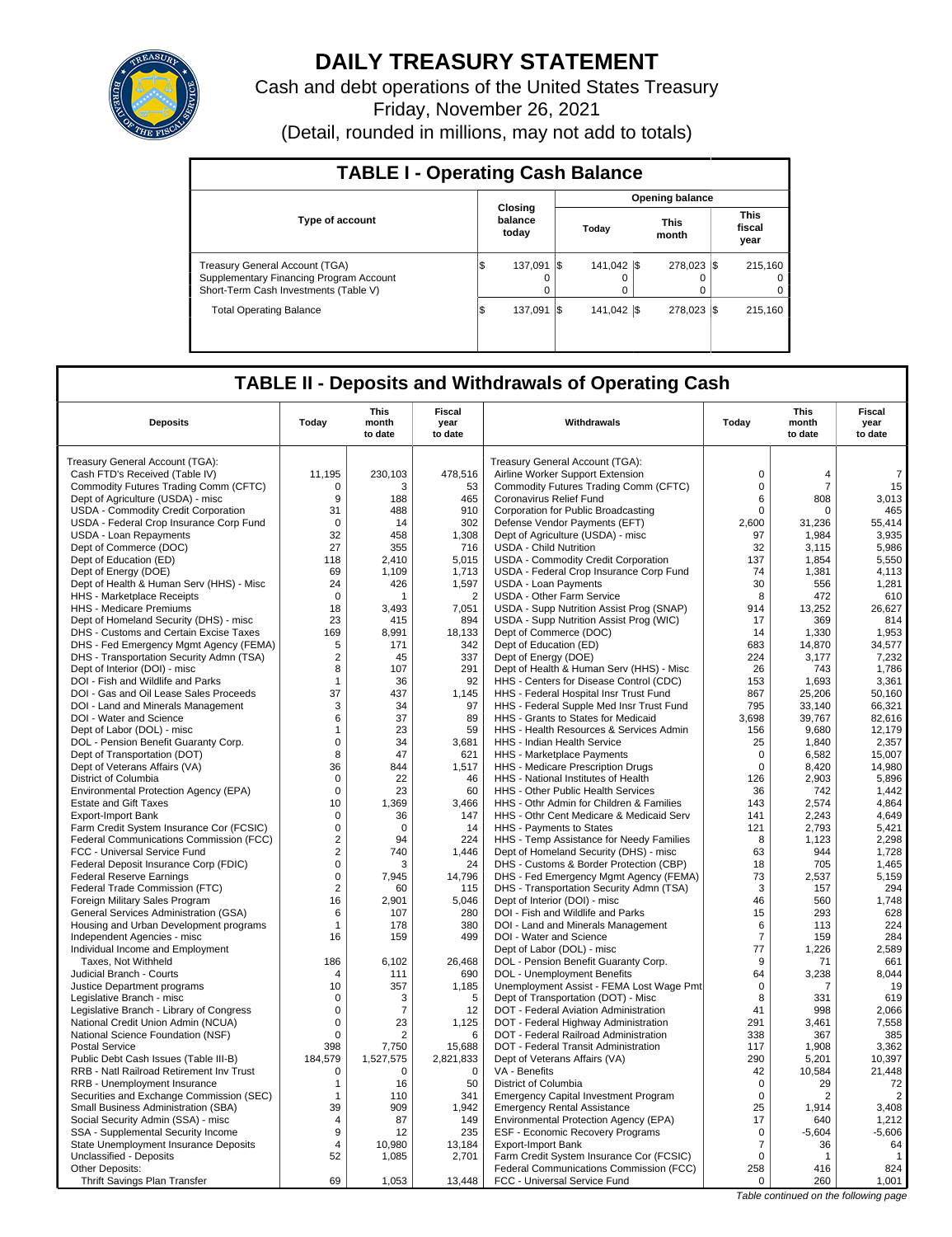

# **DAILY TREASURY STATEMENT**

Cash and debt operations of the United States Treasury Friday, November 26, 2021 (Detail, rounded in millions, may not add to totals)

| <b>TABLE I - Operating Cash Balance</b>                                                                            |     |                             |      |                        |  |                      |                 |                               |  |  |  |  |  |
|--------------------------------------------------------------------------------------------------------------------|-----|-----------------------------|------|------------------------|--|----------------------|-----------------|-------------------------------|--|--|--|--|--|
|                                                                                                                    |     |                             |      |                        |  |                      | Opening balance |                               |  |  |  |  |  |
| <b>Type of account</b>                                                                                             |     | Closing<br>balance<br>today |      | Today                  |  | <b>This</b><br>month |                 | <b>This</b><br>fiscal<br>year |  |  |  |  |  |
| Treasury General Account (TGA)<br>Supplementary Financing Program Account<br>Short-Term Cash Investments (Table V) | ۱J  | 137.091<br>o                | -1\$ | 141.042 \\<br>$\Omega$ |  | 278.023 \\$          |                 | 215.160<br>$\Omega$<br>0      |  |  |  |  |  |
| <b>Total Operating Balance</b>                                                                                     | l\$ | 137.091                     | I\$  | 141.042 \\             |  | 278.023 \\$          |                 | 215.160                       |  |  |  |  |  |

## **TABLE II - Deposits and Withdrawals of Operating Cash**

| <b>This</b><br><b>Fiscal</b><br><b>This</b><br><b>Deposits</b><br>Today<br>Withdrawals<br>Today<br>month<br>month<br>year<br>to date<br>to date<br>to date<br>Treasury General Account (TGA):<br>Treasury General Account (TGA):<br>Cash FTD's Received (Table IV)<br>11,195<br>230,103<br>478,516<br>Airline Worker Support Extension<br>$\mathbf 0$<br>$\overline{4}$<br>Commodity Futures Trading Comm (CFTC)<br>$\Omega$<br>$\overline{7}$<br>0<br>53<br>Commodity Futures Trading Comm (CFTC)<br>3<br>Dept of Agriculture (USDA) - misc<br>9<br>188<br>465<br>Coronavirus Relief Fund<br>6<br>808<br>USDA - Commodity Credit Corporation<br>31<br>488<br>910<br>Corporation for Public Broadcasting<br>0<br>$\Omega$<br>USDA - Federal Crop Insurance Corp Fund<br>$\Omega$<br>14<br>302<br>Defense Vendor Payments (EFT)<br>2,600<br>31,236<br>32<br>458<br>USDA - Loan Repayments<br>1,308<br>Dept of Agriculture (USDA) - misc<br>97<br>1,984<br>Dept of Commerce (DOC)<br>27<br>716<br><b>USDA - Child Nutrition</b><br>32<br>355<br>3,115<br>Dept of Education (ED)<br>118<br>2.410<br>5,015<br>USDA - Commodity Credit Corporation<br>137<br>1.854<br>Dept of Energy (DOE)<br>69<br>1,109<br>1,713<br>USDA - Federal Crop Insurance Corp Fund<br>74<br>1,381 |                                  |  |  |
|-------------------------------------------------------------------------------------------------------------------------------------------------------------------------------------------------------------------------------------------------------------------------------------------------------------------------------------------------------------------------------------------------------------------------------------------------------------------------------------------------------------------------------------------------------------------------------------------------------------------------------------------------------------------------------------------------------------------------------------------------------------------------------------------------------------------------------------------------------------------------------------------------------------------------------------------------------------------------------------------------------------------------------------------------------------------------------------------------------------------------------------------------------------------------------------------------------------------------------------------------------------------------|----------------------------------|--|--|
|                                                                                                                                                                                                                                                                                                                                                                                                                                                                                                                                                                                                                                                                                                                                                                                                                                                                                                                                                                                                                                                                                                                                                                                                                                                                         | <b>Fiscal</b><br>year<br>to date |  |  |
|                                                                                                                                                                                                                                                                                                                                                                                                                                                                                                                                                                                                                                                                                                                                                                                                                                                                                                                                                                                                                                                                                                                                                                                                                                                                         |                                  |  |  |
|                                                                                                                                                                                                                                                                                                                                                                                                                                                                                                                                                                                                                                                                                                                                                                                                                                                                                                                                                                                                                                                                                                                                                                                                                                                                         |                                  |  |  |
|                                                                                                                                                                                                                                                                                                                                                                                                                                                                                                                                                                                                                                                                                                                                                                                                                                                                                                                                                                                                                                                                                                                                                                                                                                                                         | $\overline{7}$                   |  |  |
|                                                                                                                                                                                                                                                                                                                                                                                                                                                                                                                                                                                                                                                                                                                                                                                                                                                                                                                                                                                                                                                                                                                                                                                                                                                                         | 15                               |  |  |
|                                                                                                                                                                                                                                                                                                                                                                                                                                                                                                                                                                                                                                                                                                                                                                                                                                                                                                                                                                                                                                                                                                                                                                                                                                                                         | 3,013                            |  |  |
|                                                                                                                                                                                                                                                                                                                                                                                                                                                                                                                                                                                                                                                                                                                                                                                                                                                                                                                                                                                                                                                                                                                                                                                                                                                                         | 465                              |  |  |
|                                                                                                                                                                                                                                                                                                                                                                                                                                                                                                                                                                                                                                                                                                                                                                                                                                                                                                                                                                                                                                                                                                                                                                                                                                                                         | 55,414                           |  |  |
|                                                                                                                                                                                                                                                                                                                                                                                                                                                                                                                                                                                                                                                                                                                                                                                                                                                                                                                                                                                                                                                                                                                                                                                                                                                                         | 3,935                            |  |  |
|                                                                                                                                                                                                                                                                                                                                                                                                                                                                                                                                                                                                                                                                                                                                                                                                                                                                                                                                                                                                                                                                                                                                                                                                                                                                         | 5,986                            |  |  |
|                                                                                                                                                                                                                                                                                                                                                                                                                                                                                                                                                                                                                                                                                                                                                                                                                                                                                                                                                                                                                                                                                                                                                                                                                                                                         | 5,550<br>4,113                   |  |  |
| 24<br>1,597<br>30<br>Dept of Health & Human Serv (HHS) - Misc<br>426<br><b>USDA - Loan Payments</b><br>556                                                                                                                                                                                                                                                                                                                                                                                                                                                                                                                                                                                                                                                                                                                                                                                                                                                                                                                                                                                                                                                                                                                                                              | 1.281                            |  |  |
| $\overline{2}$<br><b>USDA - Other Farm Service</b><br>8<br>472<br>HHS - Marketplace Receipts<br>$\mathbf 0$                                                                                                                                                                                                                                                                                                                                                                                                                                                                                                                                                                                                                                                                                                                                                                                                                                                                                                                                                                                                                                                                                                                                                             | 610                              |  |  |
| HHS - Medicare Premiums<br>18<br>3.493<br>7,051<br>USDA - Supp Nutrition Assist Prog (SNAP)<br>914<br>13,252                                                                                                                                                                                                                                                                                                                                                                                                                                                                                                                                                                                                                                                                                                                                                                                                                                                                                                                                                                                                                                                                                                                                                            | 26.627                           |  |  |
| 23<br>Dept of Homeland Security (DHS) - misc<br>415<br>894<br>USDA - Supp Nutrition Assist Prog (WIC)<br>17<br>369                                                                                                                                                                                                                                                                                                                                                                                                                                                                                                                                                                                                                                                                                                                                                                                                                                                                                                                                                                                                                                                                                                                                                      | 814                              |  |  |
| DHS - Customs and Certain Excise Taxes<br>169<br>8.991<br>18.133<br>Dept of Commerce (DOC)<br>14<br>1.330                                                                                                                                                                                                                                                                                                                                                                                                                                                                                                                                                                                                                                                                                                                                                                                                                                                                                                                                                                                                                                                                                                                                                               | 1,953                            |  |  |
| 342<br>Dept of Education (ED)<br>683<br>DHS - Fed Emergency Mgmt Agency (FEMA)<br>5<br>171<br>14,870                                                                                                                                                                                                                                                                                                                                                                                                                                                                                                                                                                                                                                                                                                                                                                                                                                                                                                                                                                                                                                                                                                                                                                    | 34,577                           |  |  |
| DHS - Transportation Security Admn (TSA)<br>$\overline{2}$<br>45<br>337<br>Dept of Energy (DOE)<br>224<br>3,177                                                                                                                                                                                                                                                                                                                                                                                                                                                                                                                                                                                                                                                                                                                                                                                                                                                                                                                                                                                                                                                                                                                                                         | 7,232                            |  |  |
| 291<br>26<br>Dept of Interior (DOI) - misc<br>8<br>107<br>Dept of Health & Human Serv (HHS) - Misc<br>743                                                                                                                                                                                                                                                                                                                                                                                                                                                                                                                                                                                                                                                                                                                                                                                                                                                                                                                                                                                                                                                                                                                                                               | 1,786                            |  |  |
| DOI - Fish and Wildlife and Parks<br>92<br>HHS - Centers for Disease Control (CDC)<br>153<br>1.693<br>1<br>36                                                                                                                                                                                                                                                                                                                                                                                                                                                                                                                                                                                                                                                                                                                                                                                                                                                                                                                                                                                                                                                                                                                                                           | 3.361                            |  |  |
| 37<br>867<br>DOI - Gas and Oil Lease Sales Proceeds<br>437<br>1,145<br>HHS - Federal Hospital Insr Trust Fund<br>25,206                                                                                                                                                                                                                                                                                                                                                                                                                                                                                                                                                                                                                                                                                                                                                                                                                                                                                                                                                                                                                                                                                                                                                 | 50,160                           |  |  |
| DOI - Land and Minerals Management<br>3<br>34<br>97<br>HHS - Federal Supple Med Insr Trust Fund<br>795<br>33.140                                                                                                                                                                                                                                                                                                                                                                                                                                                                                                                                                                                                                                                                                                                                                                                                                                                                                                                                                                                                                                                                                                                                                        | 66,321                           |  |  |
| 6<br>37<br>89<br>HHS - Grants to States for Medicaid<br>3,698<br>39,767<br>DOI - Water and Science                                                                                                                                                                                                                                                                                                                                                                                                                                                                                                                                                                                                                                                                                                                                                                                                                                                                                                                                                                                                                                                                                                                                                                      | 82,616                           |  |  |
| Dept of Labor (DOL) - misc<br>59<br>HHS - Health Resources & Services Admin<br>9.680<br>1<br>23<br>156                                                                                                                                                                                                                                                                                                                                                                                                                                                                                                                                                                                                                                                                                                                                                                                                                                                                                                                                                                                                                                                                                                                                                                  | 12.179                           |  |  |
| DOL - Pension Benefit Guaranty Corp.<br>$\mathbf 0$<br>3,681<br>HHS - Indian Health Service<br>34<br>25<br>1,840                                                                                                                                                                                                                                                                                                                                                                                                                                                                                                                                                                                                                                                                                                                                                                                                                                                                                                                                                                                                                                                                                                                                                        | 2,357                            |  |  |
| Dept of Transportation (DOT)<br>8<br>47<br>621<br>HHS - Marketplace Payments<br>6,582<br>0                                                                                                                                                                                                                                                                                                                                                                                                                                                                                                                                                                                                                                                                                                                                                                                                                                                                                                                                                                                                                                                                                                                                                                              | 15,007                           |  |  |
| 36<br>844<br>1,517<br>$\Omega$<br>8,420<br>Dept of Veterans Affairs (VA)<br>HHS - Medicare Prescription Drugs                                                                                                                                                                                                                                                                                                                                                                                                                                                                                                                                                                                                                                                                                                                                                                                                                                                                                                                                                                                                                                                                                                                                                           | 14,980                           |  |  |
| 46<br>126<br>2,903<br>District of Columbia<br>$\mathbf 0$<br>22<br>HHS - National Institutes of Health                                                                                                                                                                                                                                                                                                                                                                                                                                                                                                                                                                                                                                                                                                                                                                                                                                                                                                                                                                                                                                                                                                                                                                  | 5,896                            |  |  |
| 60<br>Environmental Protection Agency (EPA)<br>$\mathbf 0$<br>23<br>HHS - Other Public Health Services<br>36<br>742                                                                                                                                                                                                                                                                                                                                                                                                                                                                                                                                                                                                                                                                                                                                                                                                                                                                                                                                                                                                                                                                                                                                                     | 1,442                            |  |  |
| <b>Estate and Gift Taxes</b><br>10<br>1,369<br>3,466<br>HHS - Othr Admin for Children & Families<br>143<br>2,574                                                                                                                                                                                                                                                                                                                                                                                                                                                                                                                                                                                                                                                                                                                                                                                                                                                                                                                                                                                                                                                                                                                                                        | 4,864                            |  |  |
| 2,243<br>0<br>36<br>147<br>HHS - Othr Cent Medicare & Medicaid Serv<br>141<br>Export-Import Bank                                                                                                                                                                                                                                                                                                                                                                                                                                                                                                                                                                                                                                                                                                                                                                                                                                                                                                                                                                                                                                                                                                                                                                        | 4,649                            |  |  |
| 2,793<br>Farm Credit System Insurance Cor (FCSIC)<br>0<br>$\Omega$<br>14<br>HHS - Payments to States<br>121                                                                                                                                                                                                                                                                                                                                                                                                                                                                                                                                                                                                                                                                                                                                                                                                                                                                                                                                                                                                                                                                                                                                                             | 5,421                            |  |  |
| $\overline{2}$<br>224<br>Federal Communications Commission (FCC)<br>94<br>HHS - Temp Assistance for Needy Families<br>8<br>1,123                                                                                                                                                                                                                                                                                                                                                                                                                                                                                                                                                                                                                                                                                                                                                                                                                                                                                                                                                                                                                                                                                                                                        | 2,298                            |  |  |
| FCC - Universal Service Fund<br>$\overline{\mathbf{c}}$<br>740<br>1,446<br>Dept of Homeland Security (DHS) - misc<br>63<br>944<br>0<br>DHS - Customs & Border Protection (CBP)<br>18<br>705                                                                                                                                                                                                                                                                                                                                                                                                                                                                                                                                                                                                                                                                                                                                                                                                                                                                                                                                                                                                                                                                             | 1,728<br>1,465                   |  |  |
| Federal Deposit Insurance Corp (FDIC)<br>24<br>73<br><b>Federal Reserve Earnings</b><br>0<br>7,945<br>14.796<br>DHS - Fed Emergency Mgmt Agency (FEMA)<br>2,537                                                                                                                                                                                                                                                                                                                                                                                                                                                                                                                                                                                                                                                                                                                                                                                                                                                                                                                                                                                                                                                                                                         | 5,159                            |  |  |
| Federal Trade Commission (FTC)<br>$\overline{2}$<br>DHS - Transportation Security Admn (TSA)<br>3<br>60<br>115<br>157                                                                                                                                                                                                                                                                                                                                                                                                                                                                                                                                                                                                                                                                                                                                                                                                                                                                                                                                                                                                                                                                                                                                                   | 294                              |  |  |
| Foreign Military Sales Program<br>16<br>2,901<br>5,046<br>Dept of Interior (DOI) - misc<br>46<br>560                                                                                                                                                                                                                                                                                                                                                                                                                                                                                                                                                                                                                                                                                                                                                                                                                                                                                                                                                                                                                                                                                                                                                                    | 1,748                            |  |  |
| 293<br><b>General Services Administration (GSA)</b><br>6<br>107<br>280<br>DOI - Fish and Wildlife and Parks<br>15                                                                                                                                                                                                                                                                                                                                                                                                                                                                                                                                                                                                                                                                                                                                                                                                                                                                                                                                                                                                                                                                                                                                                       | 628                              |  |  |
| Housing and Urban Development programs<br>380<br>DOI - Land and Minerals Management<br>178<br>6<br>113<br>1                                                                                                                                                                                                                                                                                                                                                                                                                                                                                                                                                                                                                                                                                                                                                                                                                                                                                                                                                                                                                                                                                                                                                             | 224                              |  |  |
| 499<br>DOI - Water and Science<br>$\overline{7}$<br>159<br>Independent Agencies - misc<br>16<br>159                                                                                                                                                                                                                                                                                                                                                                                                                                                                                                                                                                                                                                                                                                                                                                                                                                                                                                                                                                                                                                                                                                                                                                     | 284                              |  |  |
| Individual Income and Employment<br>Dept of Labor (DOL) - misc<br>77<br>1,226                                                                                                                                                                                                                                                                                                                                                                                                                                                                                                                                                                                                                                                                                                                                                                                                                                                                                                                                                                                                                                                                                                                                                                                           | 2,589                            |  |  |
| 26.468<br>Taxes. Not Withheld<br>186<br>6.102<br>DOL - Pension Benefit Guaranty Corp.<br>9<br>71                                                                                                                                                                                                                                                                                                                                                                                                                                                                                                                                                                                                                                                                                                                                                                                                                                                                                                                                                                                                                                                                                                                                                                        | 661                              |  |  |
| 690<br>DOL - Unemployment Benefits<br>Judicial Branch - Courts<br>111<br>64<br>3,238<br>4                                                                                                                                                                                                                                                                                                                                                                                                                                                                                                                                                                                                                                                                                                                                                                                                                                                                                                                                                                                                                                                                                                                                                                               | 8,044                            |  |  |
| Justice Department programs<br>10<br>357<br>1,185<br>Unemployment Assist - FEMA Lost Wage Pmt<br>$\mathbf 0$<br>7                                                                                                                                                                                                                                                                                                                                                                                                                                                                                                                                                                                                                                                                                                                                                                                                                                                                                                                                                                                                                                                                                                                                                       | 19                               |  |  |
| 5<br>Dept of Transportation (DOT) - Misc<br>8<br>331<br>Legislative Branch - misc<br>$\Omega$<br>3                                                                                                                                                                                                                                                                                                                                                                                                                                                                                                                                                                                                                                                                                                                                                                                                                                                                                                                                                                                                                                                                                                                                                                      | 619                              |  |  |
| 12<br>Legislative Branch - Library of Congress<br>0<br>$\overline{7}$<br>DOT - Federal Aviation Administration<br>41<br>998                                                                                                                                                                                                                                                                                                                                                                                                                                                                                                                                                                                                                                                                                                                                                                                                                                                                                                                                                                                                                                                                                                                                             | 2.066                            |  |  |
| $\mathbf 0$<br>1,125<br>291<br>National Credit Union Admin (NCUA)<br>23<br>DOT - Federal Highway Administration<br>3,461                                                                                                                                                                                                                                                                                                                                                                                                                                                                                                                                                                                                                                                                                                                                                                                                                                                                                                                                                                                                                                                                                                                                                | 7,558                            |  |  |
| National Science Foundation (NSF)<br>$\mathbf 0$<br>$\overline{2}$<br>6<br>DOT - Federal Railroad Administration<br>338<br>367                                                                                                                                                                                                                                                                                                                                                                                                                                                                                                                                                                                                                                                                                                                                                                                                                                                                                                                                                                                                                                                                                                                                          | 385                              |  |  |
| <b>Postal Service</b><br>398<br>7,750<br>15,688<br>DOT - Federal Transit Administration<br>117<br>1,908                                                                                                                                                                                                                                                                                                                                                                                                                                                                                                                                                                                                                                                                                                                                                                                                                                                                                                                                                                                                                                                                                                                                                                 | 3,362                            |  |  |
| 290<br>Public Debt Cash Issues (Table III-B)<br>184,579<br>1,527,575<br>2,821,833<br>Dept of Veterans Affairs (VA)<br>5,201                                                                                                                                                                                                                                                                                                                                                                                                                                                                                                                                                                                                                                                                                                                                                                                                                                                                                                                                                                                                                                                                                                                                             | 10,397                           |  |  |
| RRB - Natl Railroad Retirement Inv Trust<br>0<br>VA - Benefits<br>42<br>10,584<br>0<br>0                                                                                                                                                                                                                                                                                                                                                                                                                                                                                                                                                                                                                                                                                                                                                                                                                                                                                                                                                                                                                                                                                                                                                                                | 21,448                           |  |  |
| RRB - Unemployment Insurance<br>16<br>50<br>District of Columbia<br>$\mathbf 0$<br>29<br>$\mathbf{1}$                                                                                                                                                                                                                                                                                                                                                                                                                                                                                                                                                                                                                                                                                                                                                                                                                                                                                                                                                                                                                                                                                                                                                                   | 72                               |  |  |
| Securities and Exchange Commission (SEC)<br>341<br>$\Omega$<br>110<br><b>Emergency Capital Investment Program</b><br>$\overline{2}$<br>1                                                                                                                                                                                                                                                                                                                                                                                                                                                                                                                                                                                                                                                                                                                                                                                                                                                                                                                                                                                                                                                                                                                                | $\overline{2}$                   |  |  |
| Small Business Administration (SBA)<br>39<br>1.942<br><b>Emergency Rental Assistance</b><br>25<br>909<br>1.914                                                                                                                                                                                                                                                                                                                                                                                                                                                                                                                                                                                                                                                                                                                                                                                                                                                                                                                                                                                                                                                                                                                                                          | 3.408                            |  |  |
| Social Security Admin (SSA) - misc<br>87<br>149<br>Environmental Protection Agency (EPA)<br>17<br>4<br>640                                                                                                                                                                                                                                                                                                                                                                                                                                                                                                                                                                                                                                                                                                                                                                                                                                                                                                                                                                                                                                                                                                                                                              | 1,212                            |  |  |
| SSA - Supplemental Security Income<br>9<br>235<br>ESF - Economic Recovery Programs<br>$\mathbf 0$<br>$-5,604$<br>12                                                                                                                                                                                                                                                                                                                                                                                                                                                                                                                                                                                                                                                                                                                                                                                                                                                                                                                                                                                                                                                                                                                                                     | $-5,606$                         |  |  |
| State Unemployment Insurance Deposits<br>10,980<br><b>Export-Import Bank</b><br>36<br>4<br>13,184<br>7<br>Unclassified - Deposits<br>1,085<br>2,701<br>52<br>$\Omega$<br>$\overline{1}$                                                                                                                                                                                                                                                                                                                                                                                                                                                                                                                                                                                                                                                                                                                                                                                                                                                                                                                                                                                                                                                                                 | 64<br>$\mathbf{1}$               |  |  |
| Farm Credit System Insurance Cor (FCSIC)<br>Other Deposits:<br>Federal Communications Commission (FCC)<br>258<br>416                                                                                                                                                                                                                                                                                                                                                                                                                                                                                                                                                                                                                                                                                                                                                                                                                                                                                                                                                                                                                                                                                                                                                    | 824                              |  |  |
| Thrift Savings Plan Transfer<br>69<br>1,053<br>13,448<br>FCC - Universal Service Fund<br>260<br>0                                                                                                                                                                                                                                                                                                                                                                                                                                                                                                                                                                                                                                                                                                                                                                                                                                                                                                                                                                                                                                                                                                                                                                       | 1,001                            |  |  |
| Table continued on the following page                                                                                                                                                                                                                                                                                                                                                                                                                                                                                                                                                                                                                                                                                                                                                                                                                                                                                                                                                                                                                                                                                                                                                                                                                                   |                                  |  |  |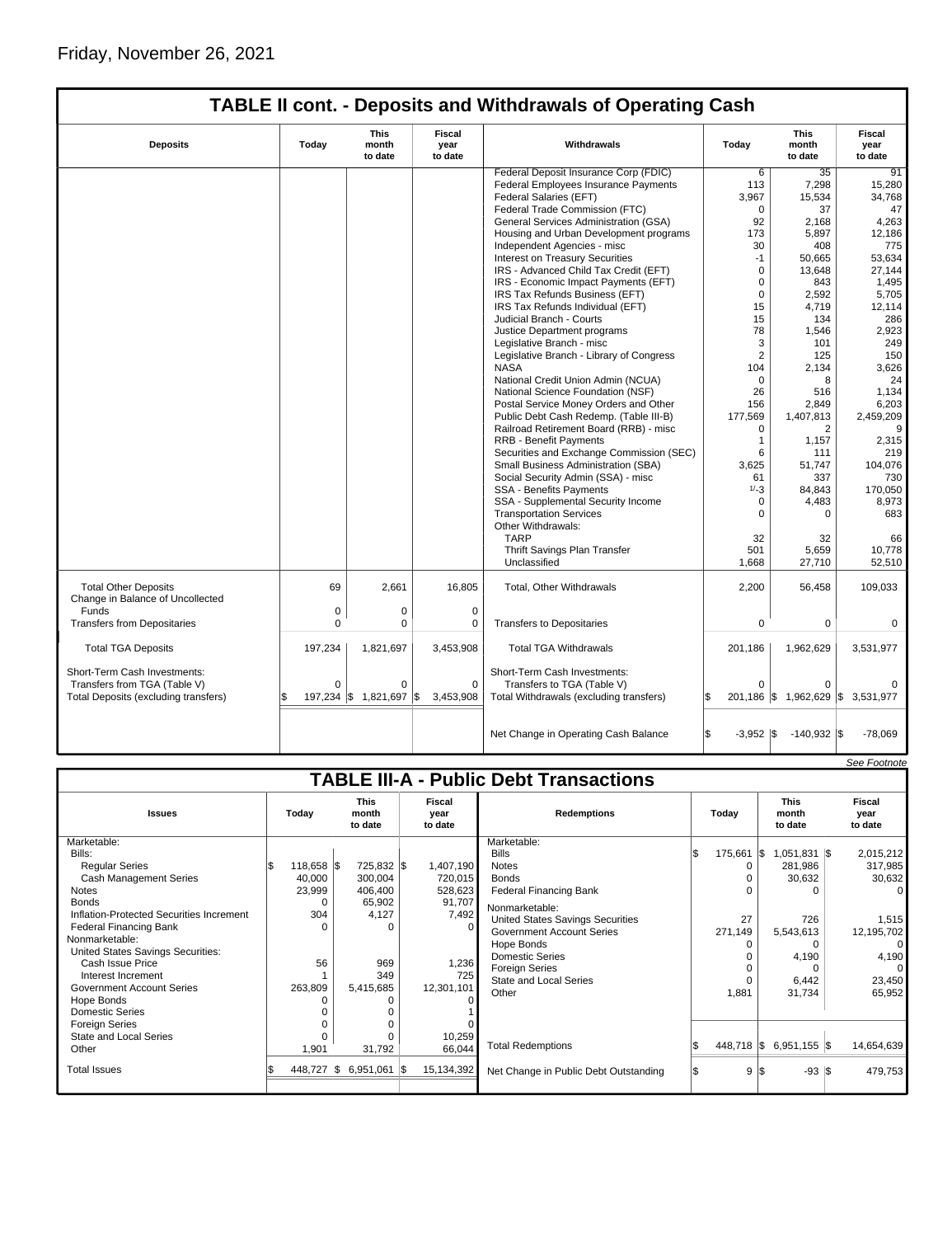|                                                                 |          |                                 |                           | <b>TABLE II cont. - Deposits and Withdrawals of Operating Cash</b> |                   |                                   |                           |
|-----------------------------------------------------------------|----------|---------------------------------|---------------------------|--------------------------------------------------------------------|-------------------|-----------------------------------|---------------------------|
| <b>Deposits</b>                                                 | Today    | <b>This</b><br>month<br>to date | Fiscal<br>year<br>to date | Withdrawals                                                        | Today             | <b>This</b><br>month<br>to date   | Fiscal<br>year<br>to date |
|                                                                 |          |                                 |                           | Federal Deposit Insurance Corp (FDIC)                              | 6                 | 35                                | 91                        |
|                                                                 |          |                                 |                           | Federal Employees Insurance Payments                               | 113               | 7,298                             | 15,280                    |
|                                                                 |          |                                 |                           | Federal Salaries (EFT)                                             | 3,967             | 15,534                            | 34.768                    |
|                                                                 |          |                                 |                           | Federal Trade Commission (FTC)                                     | $\Omega$          | 37                                | 47                        |
|                                                                 |          |                                 |                           | General Services Administration (GSA)                              | 92                | 2,168                             | 4,263                     |
|                                                                 |          |                                 |                           | Housing and Urban Development programs                             | 173               | 5,897                             | 12,186                    |
|                                                                 |          |                                 |                           | Independent Agencies - misc                                        | 30                | 408                               | 775                       |
|                                                                 |          |                                 |                           | <b>Interest on Treasury Securities</b>                             | $-1$              | 50,665                            | 53,634                    |
|                                                                 |          |                                 |                           | IRS - Advanced Child Tax Credit (EFT)                              | $\Omega$          | 13.648                            | 27,144                    |
|                                                                 |          |                                 |                           | IRS - Economic Impact Payments (EFT)                               | $\mathbf 0$       | 843                               | 1,495                     |
|                                                                 |          |                                 |                           | IRS Tax Refunds Business (EFT)                                     | $\mathbf 0$       | 2,592                             | 5,705                     |
|                                                                 |          |                                 |                           | IRS Tax Refunds Individual (EFT)                                   | 15                | 4.719                             | 12.114                    |
|                                                                 |          |                                 |                           | Judicial Branch - Courts                                           | 15                | 134                               | 286                       |
|                                                                 |          |                                 |                           | Justice Department programs                                        | 78                | 1,546                             | 2,923                     |
|                                                                 |          |                                 |                           | Legislative Branch - misc                                          | 3                 | 101                               | 249                       |
|                                                                 |          |                                 |                           | Legislative Branch - Library of Congress                           | $\overline{2}$    | 125                               | 150                       |
|                                                                 |          |                                 |                           | <b>NASA</b>                                                        | 104               | 2,134                             | 3,626                     |
|                                                                 |          |                                 |                           | National Credit Union Admin (NCUA)                                 | $\Omega$          | 8                                 | 24                        |
|                                                                 |          |                                 |                           | National Science Foundation (NSF)                                  | 26                | 516                               | 1,134                     |
|                                                                 |          |                                 |                           | Postal Service Money Orders and Other                              | 156               | 2,849                             | 6,203                     |
|                                                                 |          |                                 |                           | Public Debt Cash Redemp. (Table III-B)                             | 177,569           | 1,407,813                         | 2,459,209                 |
|                                                                 |          |                                 |                           | Railroad Retirement Board (RRB) - misc                             | $\Omega$          | $\overline{2}$                    | 9                         |
|                                                                 |          |                                 |                           | <b>RRB - Benefit Payments</b>                                      | $\mathbf{1}$      | 1,157                             | 2,315                     |
|                                                                 |          |                                 |                           | Securities and Exchange Commission (SEC)                           | 6                 | 111                               | 219                       |
|                                                                 |          |                                 |                           | Small Business Administration (SBA)                                | 3,625             | 51,747                            | 104,076                   |
|                                                                 |          |                                 |                           | Social Security Admin (SSA) - misc                                 | 61                | 337                               | 730                       |
|                                                                 |          |                                 |                           | <b>SSA - Benefits Payments</b>                                     | $1/-3$            | 84,843                            | 170,050                   |
|                                                                 |          |                                 |                           | SSA - Supplemental Security Income                                 | $\Omega$          | 4,483                             |                           |
|                                                                 |          |                                 |                           | <b>Transportation Services</b>                                     | $\Omega$          | $\Omega$                          | 8,973<br>683              |
|                                                                 |          |                                 |                           | Other Withdrawals:                                                 |                   |                                   |                           |
|                                                                 |          |                                 |                           | <b>TARP</b>                                                        | 32                | 32                                | 66                        |
|                                                                 |          |                                 |                           |                                                                    |                   |                                   |                           |
|                                                                 |          |                                 |                           | Thrift Savings Plan Transfer<br>Unclassified                       | 501<br>1,668      | 5,659<br>27,710                   | 10,778<br>52.510          |
|                                                                 |          |                                 |                           |                                                                    |                   |                                   |                           |
| <b>Total Other Deposits</b><br>Change in Balance of Uncollected | 69       | 2,661                           | 16,805                    | Total, Other Withdrawals                                           | 2,200             | 56,458                            | 109,033                   |
| Funds                                                           | 0        | 0                               | $\mathbf 0$               |                                                                    |                   |                                   |                           |
| <b>Transfers from Depositaries</b>                              | 0        | 0                               | 0                         | <b>Transfers to Depositaries</b>                                   | $\mathbf 0$       | 0                                 | 0                         |
|                                                                 |          |                                 |                           |                                                                    |                   |                                   |                           |
| <b>Total TGA Deposits</b>                                       | 197,234  | 1,821,697                       | 3,453,908                 | <b>Total TGA Withdrawals</b>                                       | 201,186           | 1,962,629                         | 3,531,977                 |
| Short-Term Cash Investments:                                    |          |                                 |                           | Short-Term Cash Investments:                                       |                   |                                   |                           |
| Transfers from TGA (Table V)                                    | $\Omega$ | 0                               | $\Omega$                  | Transfers to TGA (Table V)                                         | $\Omega$          | $\Omega$                          |                           |
| Total Deposits (excluding transfers)                            |          | 197,234 \$ 1,821,697            | 1\$<br>3,453,908          | Total Withdrawals (excluding transfers)                            | ß.                | 201,186 \$ 1,962,629 \$ 3,531,977 |                           |
|                                                                 |          |                                 |                           | Net Change in Operating Cash Balance                               | \$<br>$-3,952$ \$ | $-140,932$ \$                     | $-78,069$                 |

|                                               |       |            |  |                                 |                           |            |                                         |     |            |     |                                 |  | See Footnote              |
|-----------------------------------------------|-------|------------|--|---------------------------------|---------------------------|------------|-----------------------------------------|-----|------------|-----|---------------------------------|--|---------------------------|
| <b>TABLE III-A - Public Debt Transactions</b> |       |            |  |                                 |                           |            |                                         |     |            |     |                                 |  |                           |
| <b>Issues</b>                                 | Today |            |  | <b>This</b><br>month<br>to date | Fiscal<br>year<br>to date |            | <b>Redemptions</b>                      |     | Today      |     | <b>This</b><br>month<br>to date |  | Fiscal<br>year<br>to date |
| Marketable:                                   |       |            |  |                                 |                           |            | Marketable:                             |     |            |     |                                 |  |                           |
| Bills:                                        |       |            |  |                                 |                           |            | <b>Bills</b>                            | l\$ | 175,661 \$ |     | $1,051,831$ \$                  |  | 2,015,212                 |
| <b>Regular Series</b>                         |       | 118,658 \$ |  | 725,832 \$                      |                           | 1,407,190  | <b>Notes</b>                            |     | 0          |     | 281,986                         |  | 317,985                   |
| Cash Management Series                        |       | 40,000     |  | 300,004                         |                           | 720,015    | <b>Bonds</b>                            |     |            |     | 30,632                          |  | 30,632                    |
| <b>Notes</b>                                  |       | 23,999     |  | 406,400                         |                           | 528,623    | <b>Federal Financing Bank</b>           |     |            |     |                                 |  | 0                         |
| <b>Bonds</b>                                  |       | ŋ          |  | 65,902                          |                           | 91,707     | Nonmarketable:                          |     |            |     |                                 |  |                           |
| Inflation-Protected Securities Increment      |       | 304        |  | 4,127                           |                           | 7,492      | <b>United States Savings Securities</b> |     | 27         |     | 726                             |  | 1,515                     |
| Federal Financing Bank                        |       |            |  | $\Omega$                        |                           |            | <b>Government Account Series</b>        |     | 271,149    |     | 5,543,613                       |  | 12,195,702                |
| Nonmarketable:                                |       |            |  |                                 |                           |            | Hope Bonds                              |     |            |     | 0                               |  | 0                         |
| United States Savings Securities:             |       |            |  |                                 |                           |            | <b>Domestic Series</b>                  |     |            |     | 4,190                           |  | 4,190                     |
| Cash Issue Price                              |       | 56         |  | 969                             |                           | 1,236      | <b>Foreign Series</b>                   |     |            |     |                                 |  | 0                         |
| Interest Increment                            |       |            |  | 349                             |                           | 725        | <b>State and Local Series</b>           |     | $\Omega$   |     | 6,442                           |  | 23,450                    |
| <b>Government Account Series</b>              |       | 263,809    |  | 5,415,685                       |                           | 12,301,101 | Other                                   |     | 1,881      |     | 31,734                          |  | 65,952                    |
| Hope Bonds                                    |       |            |  |                                 |                           |            |                                         |     |            |     |                                 |  |                           |
| Domestic Series                               |       |            |  |                                 |                           |            |                                         |     |            |     |                                 |  |                           |
| <b>Foreign Series</b>                         |       |            |  |                                 |                           |            |                                         |     |            |     |                                 |  |                           |
| State and Local Series                        |       |            |  | $\Omega$                        |                           | 10,259     |                                         |     |            |     |                                 |  |                           |
| Other                                         |       | 1,901      |  | 31,792                          |                           | 66,044     | <b>Total Redemptions</b>                |     |            |     | 448,718 \$ 6,951,155 \$         |  | 14,654,639                |
| <b>Total Issues</b>                           |       | 448,727 \$ |  | $6,951,061$ \$                  |                           | 15,134,392 | Net Change in Public Debt Outstanding   |     |            | 9 S | $-93$ $\sqrt{3}$                |  | 479,753                   |
|                                               |       |            |  |                                 |                           |            |                                         |     |            |     |                                 |  |                           |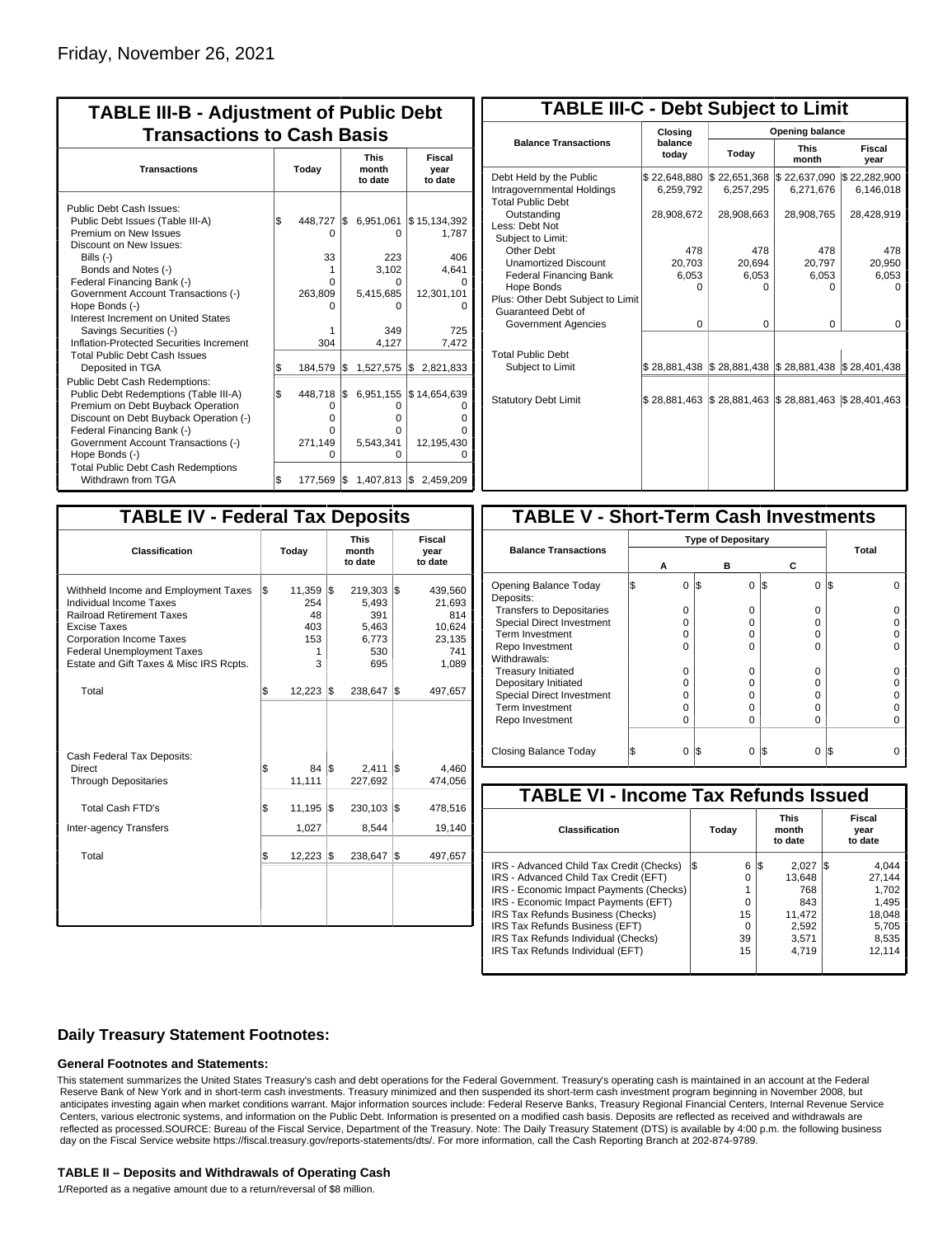| <b>TABLE III-B - Adjustment of Public Debt</b><br><b>Transactions to Cash Basis</b>                                                                                                                                                                                                                                                                          |           |                                                                 |           |                                                                              |                                                                     |  |  |  |  |  |  |  |  |  |  |  |  |  |  |  |  |  |  |                                 |                           |
|--------------------------------------------------------------------------------------------------------------------------------------------------------------------------------------------------------------------------------------------------------------------------------------------------------------------------------------------------------------|-----------|-----------------------------------------------------------------|-----------|------------------------------------------------------------------------------|---------------------------------------------------------------------|--|--|--|--|--|--|--|--|--|--|--|--|--|--|--|--|--|--|---------------------------------|---------------------------|
| <b>Transactions</b>                                                                                                                                                                                                                                                                                                                                          | Today     |                                                                 |           |                                                                              |                                                                     |  |  |  |  |  |  |  |  |  |  |  |  |  |  |  |  |  |  | <b>This</b><br>month<br>to date | Fiscal<br>year<br>to date |
| Public Debt Cash Issues:<br>Public Debt Issues (Table III-A)<br>Premium on New Issues<br>Discount on New Issues:<br>Bills (-)<br>Bonds and Notes (-)<br>Federal Financing Bank (-)<br>Government Account Transactions (-)<br>Hope Bonds (-)<br>Interest Increment on United States<br>Savings Securities (-)<br>Inflation-Protected Securities Increment     | \$        | 448,727<br>0<br>33<br>1<br>O<br>263,809<br>O<br>304             | I\$       | 6,951,061<br>$\Omega$<br>223<br>3.102<br>O<br>5,415,685<br>0<br>349<br>4,127 | \$15,134,392<br>1,787<br>406<br>4.641<br>12,301,101<br>725<br>7,472 |  |  |  |  |  |  |  |  |  |  |  |  |  |  |  |  |  |  |                                 |                           |
| <b>Total Public Debt Cash Issues</b><br>Deposited in TGA<br><b>Public Debt Cash Redemptions:</b><br>Public Debt Redemptions (Table III-A)<br>Premium on Debt Buyback Operation<br>Discount on Debt Buyback Operation (-)<br>Federal Financing Bank (-)<br>Government Account Transactions (-)<br>Hope Bonds (-)<br><b>Total Public Debt Cash Redemptions</b> | \$<br>l\$ | 184,579<br>448,718<br>0<br>$\Omega$<br>O<br>271,149<br>$\Omega$ | l\$<br>\$ | 1,527,575<br>6,951,155<br>0<br>o<br>O<br>5,543,341<br>0                      | 2,821,833<br>Ι\$<br>\$14,654,639<br>ი<br>12,195,430<br>Ω            |  |  |  |  |  |  |  |  |  |  |  |  |  |  |  |  |  |  |                                 |                           |
| Withdrawn from TGA                                                                                                                                                                                                                                                                                                                                           | \$        | 177,569                                                         | I\$       | $1,407,813$ \$                                                               | 2,459,209                                                           |  |  |  |  |  |  |  |  |  |  |  |  |  |  |  |  |  |  |                                 |                           |

| <b>TABLE III-C - Debt Subject to Limit</b>                                        |                           |                                                     |                           |                           |  |  |  |  |  |  |
|-----------------------------------------------------------------------------------|---------------------------|-----------------------------------------------------|---------------------------|---------------------------|--|--|--|--|--|--|
|                                                                                   | Closing                   | Opening balance                                     |                           |                           |  |  |  |  |  |  |
| <b>Balance Transactions</b>                                                       | balance<br>today          | Today                                               | <b>This</b><br>month      | Fiscal<br>year            |  |  |  |  |  |  |
| Debt Held by the Public<br>Intragovernmental Holdings<br><b>Total Public Debt</b> | \$22,648,880<br>6.259.792 | \$22,651,368<br>6,257,295                           | \$22,637,090<br>6.271.676 | \$22,282,900<br>6.146.018 |  |  |  |  |  |  |
| Outstanding<br>Less: Debt Not<br>Subject to Limit:                                | 28,908,672                | 28,908,663                                          | 28,908,765                | 28,428,919                |  |  |  |  |  |  |
| Other Debt                                                                        | 478                       | 478                                                 | 478                       | 478                       |  |  |  |  |  |  |
| <b>Unamortized Discount</b>                                                       | 20,703                    | 20,694                                              | 20,797                    | 20,950                    |  |  |  |  |  |  |
| <b>Federal Financing Bank</b>                                                     | 6,053                     | 6,053                                               | 6,053                     | 6,053                     |  |  |  |  |  |  |
| Hope Bonds                                                                        | $\Omega$                  | O                                                   | 0                         | n                         |  |  |  |  |  |  |
| Plus: Other Debt Subject to Limit<br>Guaranteed Debt of                           |                           |                                                     |                           |                           |  |  |  |  |  |  |
| Government Agencies                                                               | $\Omega$                  | $\Omega$                                            | 0                         | 0                         |  |  |  |  |  |  |
| <b>Total Public Debt</b><br>Subject to Limit                                      |                           | \$28,881,438 \$28,881,438 \$28,881,438 \$28,401,438 |                           |                           |  |  |  |  |  |  |
|                                                                                   |                           |                                                     |                           |                           |  |  |  |  |  |  |
| <b>Statutory Debt Limit</b>                                                       | \$28,881,463              | \$28,881,463                                        | \$28,881,463              | \$28,401,463              |  |  |  |  |  |  |
|                                                                                   |                           |                                                     |                           |                           |  |  |  |  |  |  |

| <b>TABLE IV - Federal Tax Deposits</b>                                                                                                                                                                                                 |     |                                             |     |                                                         |     |                                                              |  |  |  |  |  |
|----------------------------------------------------------------------------------------------------------------------------------------------------------------------------------------------------------------------------------------|-----|---------------------------------------------|-----|---------------------------------------------------------|-----|--------------------------------------------------------------|--|--|--|--|--|
| Classification                                                                                                                                                                                                                         |     | Today                                       |     | <b>This</b><br>month<br>to date                         |     | Fiscal<br>year<br>to date                                    |  |  |  |  |  |
| Withheld Income and Employment Taxes<br>Individual Income Taxes<br><b>Railroad Retirement Taxes</b><br><b>Excise Taxes</b><br><b>Corporation Income Taxes</b><br>Federal Unemployment Taxes<br>Estate and Gift Taxes & Misc IRS Rcpts. | l\$ | 11,359<br>254<br>48<br>403<br>153<br>1<br>3 | l\$ | 219,303<br>5,493<br>391<br>5,463<br>6,773<br>530<br>695 | l\$ | 439,560<br>21,693<br>814<br>10.624<br>23,135<br>741<br>1,089 |  |  |  |  |  |
| Total                                                                                                                                                                                                                                  | \$  | 12,223                                      | 1\$ | 238,647                                                 | l\$ | 497,657                                                      |  |  |  |  |  |
| Cash Federal Tax Deposits:<br>Direct<br><b>Through Depositaries</b>                                                                                                                                                                    | \$  | 84 IS<br>11,111                             |     | 2,411<br>227,692                                        | 1\$ | 4,460<br>474,056                                             |  |  |  |  |  |
| Total Cash FTD's<br><b>Inter-agency Transfers</b>                                                                                                                                                                                      | \$  | 11,195<br>1,027                             | l\$ | 230,103<br>8,544                                        | l\$ | 478,516<br>19,140                                            |  |  |  |  |  |
| Total                                                                                                                                                                                                                                  | l\$ | 12,223                                      | 1\$ | 238,647                                                 | l\$ | 497,657                                                      |  |  |  |  |  |
|                                                                                                                                                                                                                                        |     |                                             |     |                                                         |     |                                                              |  |  |  |  |  |

| <b>TABLE V - Short-Term Cash Investments</b> |          |   |            |   |                                         |  |            |  |  |  |
|----------------------------------------------|----------|---|------------|---|-----------------------------------------|--|------------|--|--|--|
|                                              |          |   |            |   |                                         |  |            |  |  |  |
|                                              | А        | в |            | С |                                         |  | Total      |  |  |  |
|                                              | 0        |   | $\Omega$   |   | 0                                       |  |            |  |  |  |
|                                              | O        |   | O          |   | 0                                       |  |            |  |  |  |
|                                              | O        |   | O          |   | 0                                       |  |            |  |  |  |
|                                              | n        |   | n          |   | U                                       |  |            |  |  |  |
|                                              | ი        |   | O          |   | 0                                       |  |            |  |  |  |
|                                              |          |   |            |   |                                         |  |            |  |  |  |
|                                              | O        |   | O          |   | 0                                       |  |            |  |  |  |
|                                              | $\Omega$ |   | Ω          |   | 0                                       |  |            |  |  |  |
|                                              | Ω        |   | Ω          |   | 0                                       |  |            |  |  |  |
|                                              | Ω        |   |            |   | 0                                       |  |            |  |  |  |
|                                              | O        |   | Ω          |   | 0                                       |  |            |  |  |  |
|                                              | 0        |   | 0          |   | 0                                       |  |            |  |  |  |
|                                              |          |   | I\$<br>I\$ |   | <b>Type of Depositary</b><br>1\$<br>I\$ |  | I\$<br>I\$ |  |  |  |

| <b>TABLE VI - Income Tax Refunds Issued</b> |     |       |                                 |        |  |                           |  |  |  |  |  |
|---------------------------------------------|-----|-------|---------------------------------|--------|--|---------------------------|--|--|--|--|--|
| Classification                              |     | Today | <b>This</b><br>month<br>to date |        |  | Fiscal<br>year<br>to date |  |  |  |  |  |
| IRS - Advanced Child Tax Credit (Checks)    | l\$ | 6     | 1\$                             | 2.027  |  | 4.044                     |  |  |  |  |  |
| IRS - Advanced Child Tax Credit (EFT)       |     | 0     |                                 | 13.648 |  | 27.144                    |  |  |  |  |  |
| IRS - Economic Impact Payments (Checks)     |     |       |                                 | 768    |  | 1.702                     |  |  |  |  |  |
| IRS - Economic Impact Payments (EFT)        |     | 0     |                                 | 843    |  | 1.495                     |  |  |  |  |  |
| IRS Tax Refunds Business (Checks)           |     | 15    |                                 | 11.472 |  | 18.048                    |  |  |  |  |  |
| IRS Tax Refunds Business (EFT)              |     | 0     |                                 | 2,592  |  | 5.705                     |  |  |  |  |  |
| IRS Tax Refunds Individual (Checks)         |     | 39    |                                 | 3.571  |  | 8,535                     |  |  |  |  |  |
| IRS Tax Refunds Individual (EFT)            |     | 15    |                                 | 4.719  |  | 12.114                    |  |  |  |  |  |
|                                             |     |       |                                 |        |  |                           |  |  |  |  |  |

### **Daily Treasury Statement Footnotes:**

#### **General Footnotes and Statements:**

This statement summarizes the United States Treasury's cash and debt operations for the Federal Government. Treasury's operating cash is maintained in an account at the Federal Reserve Bank of New York and in short-term cash investments. Treasury minimized and then suspended its short-term cash investment program beginning in November 2008, but anticipates investing again when market conditions warrant. Major information sources include: Federal Reserve Banks, Treasury Regional Financial Centers, Internal Revenue Service Centers, various electronic systems, and information on the Public Debt. Information is presented on a modified cash basis. Deposits are reflected as received and withdrawals are reflected as processed.SOURCE: Bureau of the Fiscal Service, Department of the Treasury. Note: The Daily Treasury Statement (DTS) is available by 4:00 p.m. the following business day on the Fiscal Service website https://fiscal.treasury.gov/reports-statements/dts/. For more information, call the Cash Reporting Branch at 202-874-9789.

#### **TABLE II – Deposits and Withdrawals of Operating Cash**

1/Reported as a negative amount due to a return/reversal of \$8 million.